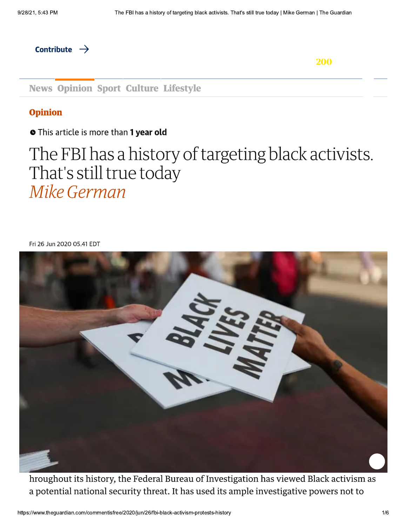Contribute  $\rightarrow$ 

200

**News Opinion Sport Culture Lifestyle** 

## **Opinion**

**O** This article is more than 1 year old

## The FBI has a history of targeting black activists. That's still true today Mike German

Fri 26 Jun 2020 05.41 EDT



hroughout its history, the Federal Bureau of Investigation has viewed Black activism as a potential national security threat. It has used its ample investigative powers not to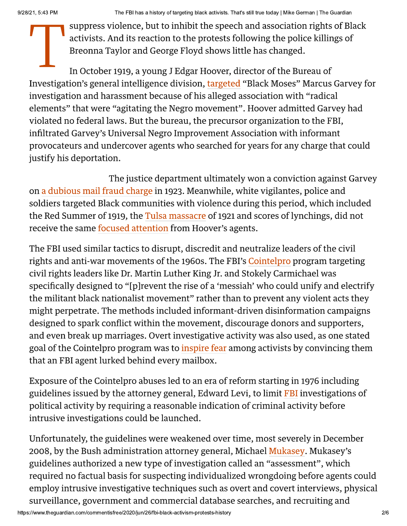The FBI has a history of targeting black activists. That's still true today | Mike German | The Guardian<br>
suppress violence, but to inhibit the speech and association rights of Black<br>
activists. And its reaction to the pro suppress violence, but to inhibit the speech and association rights of Black activists. And its reaction to the protests following the police killings of Breonna Taylor and George Floyd shows little has changed.

In October 1919, a young J Edgar Hoover, director of the Bureau of Investigation's general intelligence division, targeted "Black Moses" Marcus Garvey for investigation and harassment because of his alleged association with "radical elements" that were "agitating the Negro movement". Hoover admitted Garvey had violated no federal laws. But the bureau, the precursor organization to the FBI, infiltrated Garvey's Universal Negro Improvement Association with informant provocateurs and undercover agents who searched for years for any charge that could justify his deportation.

The justice department ultimately won a conviction against Garvey on a dubious mail fraud charge in 1923. Meanwhile, white vigilantes, police and soldiers targeted Black communities with violence during this period, which included the Red Summer of 1919, the Tulsa massacre of 1921 and scores of lynchings, did not receive the same focused attention from Hoover's agents.

The FBI used similar tactics to disrupt, discredit and neutralize leaders of the civil rights and anti-war movements of the 1960s. The FBI's Cointelpro program targeting civil rights leaders like Dr. Martin Luther King Jr. and Stokely Carmichael was specifically designed to "[p]revent the rise of a 'messiah' who could unify and electrify the militant black nationalist movement" rather than to prevent any violent acts they might perpetrate. The methods included informant-driven disinformation campaigns designed to spark conflict within the movement, discourage donors and supporters, and even break up marriages. Overt investigative activity was also used, as one stated goal of the Cointelpro program was to *inspire fear among activists by convincing them* that an FBI agent lurked behind every mailbox.

Exposure of the Cointelpro abuses led to an era of reform starting in 1976 including guidelines issued by the attorney general, Edward Levi, to limit FBI investigations of political activity by requiring a reasonable indication of criminal activity before intrusive investigations could be launched.

Unfortunately, the guidelines were weakened over time, most severely in December 2008, by the Bush administration attorney general, Michael Mukasey. Mukasey's guidelines authorized a new type of investigation called an "assessment", which required no factual basis for suspecting individualized wrongdoing before agents could employ intrusive investigative techniques such as overt and covert interviews, physical surveillance, government and commercial database searches, and recruiting and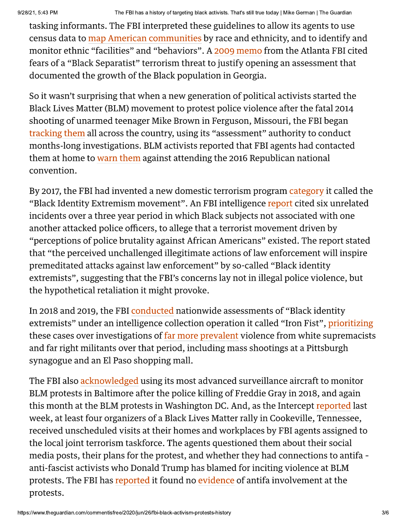The FBI has a history of targeting black activists. That's still true today | Mike German | The Guardian<br>ing informants. The FBI interpreted these guidelines to allow its agents to use<br>sus data to map American communities tasking informants. The FBI interpreted these guidelines to allow its agents to use census data to map American communities by race and ethnicity, and to identify and monitor ethnic "facilities" and "behaviors". A 2009 memo from the Atlanta FBI cited fears of a "Black Separatist" terrorism threat to justify opening an assessment that documented the growth of the Black population in Georgia.

So it wasn't surprising that when a new generation of political activists started the Black Lives Matter (BLM) movement to protest police violence after the fatal 2014 shooting of unarmed teenager Mike Brown in Ferguson, Missouri, the FBI began tracking them all across the country, using its "assessment" authority to conduct months-long investigations. BLM activists reported that FBI agents had contacted them at home to warn them against attending the 2016 Republican national convention.

By 2017, the FBI had invented a new domestic terrorism program category it called the "Black Identity Extremism movement". An FBI intelligence report cited six unrelated incidents over a three year period in which Black subjects not associated with one another attacked police officers, to allege that a terrorist movement driven by "perceptions of police brutality against African Americans" existed. The report stated that "the perceived unchallenged illegitimate actions of law enforcement will inspire premeditated attacks against law enforcement" by so-called "Black identity extremists", suggesting that the FBI's concerns lay not in illegal police violence, but the hypothetical retaliation it might provoke.

In 2018 and 2019, the FBI conducted nationwide assessments of "Black identity extremists" under an intelligence collection operation it called "Iron Fist", prioritizing these cases over investigations of far more prevalent violence from white supremacists and far right militants over that period, including mass shootings at a Pittsburgh synagogue and an El Paso shopping mall.

The FBI also acknowledged using its most advanced surveillance aircraft to monitor BLM protests in Baltimore after the police killing of Freddie Gray in 2018, and again this month at the BLM protests in Washington DC. And, as the Intercept reported last week, at least four organizers of a Black Lives Matter rally in Cookeville, Tennessee, received unscheduled visits at their homes and workplaces by FBI agents assigned to the local joint terrorism taskforce. The agents questioned them about their social media posts, their plans for the protest, and whether they had connections to antifa anti-fascist activists who Donald Trump has blamed for inciting violence at BLM protests. The FBI has reported it found no evidence of antifa involvement at the protests.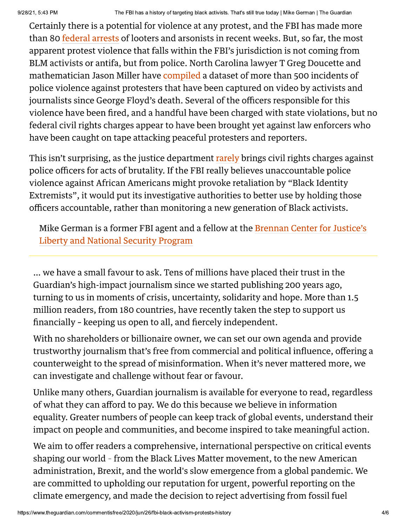Certainly there is a potential for violence at any protest, and the FBI has made more than 80 federal arrests of looters and arsonists in recent weeks. But, so far, the most apparent protest violence that falls within the FBI's jurisdiction is not coming from BLM activists or antifa, but from police. North Carolina lawyer T Greg Doucette and mathematician Jason Miller have compiled a dataset of more than 500 incidents of police violence against protesters that have been captured on video by activists and journalists since George Floyd's death. Several of the officers responsible for this violence have been fired, and a handful have been charged with state violations, but no federal civil rights charges appear to have been brought yet against law enforcers who have been caught on tape attacking peaceful protesters and reporters.

This isn't surprising, as the justice department rarely brings civil rights charges against police officers for acts of brutality. If the FBI really believes unaccountable police violence against African Americans might provoke retaliation by "Black Identity" Extremists", it would put its investigative authorities to better use by holding those officers accountable, rather than monitoring a new generation of Black activists.

Mike German is a former FBI agent and a fellow at the Brennan Center for Justice's **Liberty and National Security Program** 

... we have a small favour to ask. Tens of millions have placed their trust in the Guardian's high-impact journalism since we started publishing 200 years ago, turning to us in moments of crisis, uncertainty, solidarity and hope. More than 1.5 million readers, from 180 countries, have recently taken the step to support us financially - keeping us open to all, and fiercely independent.

With no shareholders or billionaire owner, we can set our own agenda and provide trustworthy journalism that's free from commercial and political influence, offering a counterweight to the spread of misinformation. When it's never mattered more, we can investigate and challenge without fear or favour.

Unlike many others, Guardian journalism is available for everyone to read, regardless of what they can afford to pay. We do this because we believe in information equality. Greater numbers of people can keep track of global events, understand their impact on people and communities, and become inspired to take meaningful action.

We aim to offer readers a comprehensive, international perspective on critical events shaping our world - from the Black Lives Matter movement, to the new American administration, Brexit, and the world's slow emergence from a global pandemic. We are committed to upholding our reputation for urgent, powerful reporting on the climate emergency, and made the decision to reject advertising from fossil fuel